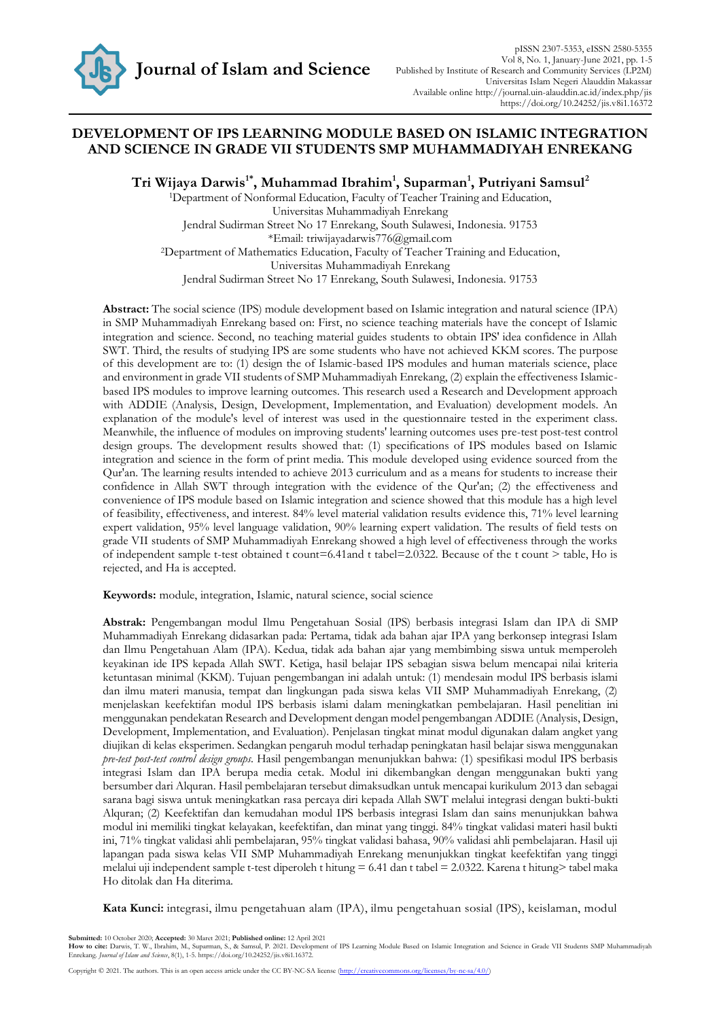

# **DEVELOPMENT OF IPS LEARNING MODULE BASED ON ISLAMIC INTEGRATION AND SCIENCE IN GRADE VII STUDENTS SMP MUHAMMADIYAH ENREKANG**

**Tri Wijaya Darwis1\* , Muhammad Ibrahim<sup>1</sup> , Suparman<sup>1</sup> , Putriyani Samsul<sup>2</sup>**

<sup>1</sup>Department of Nonformal Education, Faculty of Teacher Training and Education, Universitas Muhammadiyah Enrekang Jendral Sudirman Street No 17 Enrekang, South Sulawesi, Indonesia. 91753 \*Email: triwijayadarwis776@gmail.com <sup>2</sup>Department of Mathematics Education, Faculty of Teacher Training and Education, Universitas Muhammadiyah Enrekang Jendral Sudirman Street No 17 Enrekang, South Sulawesi, Indonesia. 91753

**Abstract:** The social science (IPS) module development based on Islamic integration and natural science (IPA) in SMP Muhammadiyah Enrekang based on: First, no science teaching materials have the concept of Islamic integration and science. Second, no teaching material guides students to obtain IPS' idea confidence in Allah SWT. Third, the results of studying IPS are some students who have not achieved KKM scores. The purpose of this development are to: (1) design the of Islamic-based IPS modules and human materials science, place and environment in grade VII students of SMP Muhammadiyah Enrekang, (2) explain the effectiveness Islamicbased IPS modules to improve learning outcomes. This research used a Research and Development approach with ADDIE (Analysis, Design, Development, Implementation, and Evaluation) development models. An explanation of the module's level of interest was used in the questionnaire tested in the experiment class. Meanwhile, the influence of modules on improving students' learning outcomes uses pre-test post-test control design groups. The development results showed that: (1) specifications of IPS modules based on Islamic integration and science in the form of print media. This module developed using evidence sourced from the Qur'an. The learning results intended to achieve 2013 curriculum and as a means for students to increase their confidence in Allah SWT through integration with the evidence of the Qur'an; (2) the effectiveness and convenience of IPS module based on Islamic integration and science showed that this module has a high level of feasibility, effectiveness, and interest. 84% level material validation results evidence this, 71% level learning expert validation, 95% level language validation, 90% learning expert validation. The results of field tests on grade VII students of SMP Muhammadiyah Enrekang showed a high level of effectiveness through the works of independent sample t-test obtained t count=6.41and t tabel=2.0322. Because of the t count > table, Ho is rejected, and Ha is accepted.

**Keywords:** module, integration, Islamic, natural science, social science

**Abstrak:** Pengembangan modul Ilmu Pengetahuan Sosial (IPS) berbasis integrasi Islam dan IPA di SMP Muhammadiyah Enrekang didasarkan pada: Pertama, tidak ada bahan ajar IPA yang berkonsep integrasi Islam dan Ilmu Pengetahuan Alam (IPA). Kedua, tidak ada bahan ajar yang membimbing siswa untuk memperoleh keyakinan ide IPS kepada Allah SWT. Ketiga, hasil belajar IPS sebagian siswa belum mencapai nilai kriteria ketuntasan minimal (KKM). Tujuan pengembangan ini adalah untuk: (1) mendesain modul IPS berbasis islami dan ilmu materi manusia, tempat dan lingkungan pada siswa kelas VII SMP Muhammadiyah Enrekang, (2) menjelaskan keefektifan modul IPS berbasis islami dalam meningkatkan pembelajaran. Hasil penelitian ini menggunakan pendekatan Research and Development dengan model pengembangan ADDIE (Analysis, Design, Development, Implementation, and Evaluation). Penjelasan tingkat minat modul digunakan dalam angket yang diujikan di kelas eksperimen. Sedangkan pengaruh modul terhadap peningkatan hasil belajar siswa menggunakan *pre-test post-test control design groups*. Hasil pengembangan menunjukkan bahwa: (1) spesifikasi modul IPS berbasis integrasi Islam dan IPA berupa media cetak. Modul ini dikembangkan dengan menggunakan bukti yang bersumber dari Alquran. Hasil pembelajaran tersebut dimaksudkan untuk mencapai kurikulum 2013 dan sebagai sarana bagi siswa untuk meningkatkan rasa percaya diri kepada Allah SWT melalui integrasi dengan bukti-bukti Alquran; (2) Keefektifan dan kemudahan modul IPS berbasis integrasi Islam dan sains menunjukkan bahwa modul ini memiliki tingkat kelayakan, keefektifan, dan minat yang tinggi. 84% tingkat validasi materi hasil bukti ini, 71% tingkat validasi ahli pembelajaran, 95% tingkat validasi bahasa, 90% validasi ahli pembelajaran. Hasil uji lapangan pada siswa kelas VII SMP Muhammadiyah Enrekang menunjukkan tingkat keefektifan yang tinggi melalui uji independent sample t-test diperoleh t hitung = 6.41 dan t tabel = 2.0322. Karena t hitung> tabel maka Ho ditolak dan Ha diterima.

**Kata Kunci:** integrasi, ilmu pengetahuan alam (IPA), ilmu pengetahuan sosial (IPS), keislaman, modul

**Submitted:** 10 October 2020; **Accepted:** 30 Maret 2021; **Published online:** 12 April 2021

How to cite: Darwis, T. W., Ibrahim, M., Suparman, S., & Samsul, P. 2021. Development of IPS Learning Module Based on Islamic Integration and Science in Grade VII Students SMP Muhammadiyah<br>Enrekang. Journal of Islam and Sc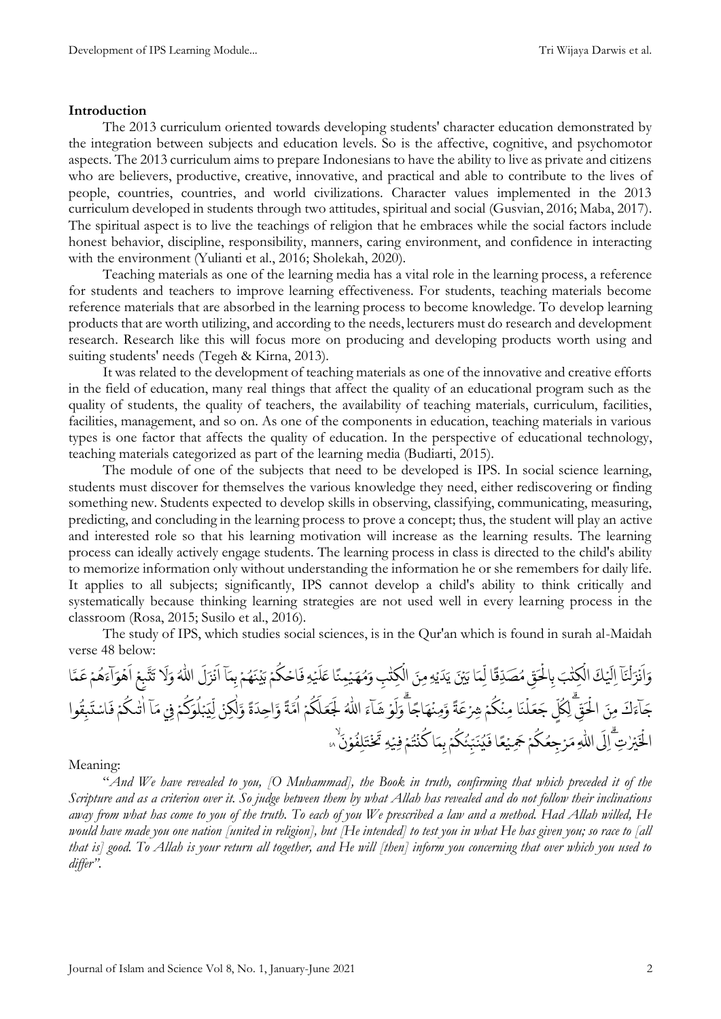### **Introduction**

The 2013 curriculum oriented towards developing students' character education demonstrated by the integration between subjects and education levels. So is the affective, cognitive, and psychomotor aspects. The 2013 curriculum aims to prepare Indonesians to have the ability to live as private and citizens who are believers, productive, creative, innovative, and practical and able to contribute to the lives of people, countries, countries, and world civilizations. Character values implemented in the 2013 curriculum developed in students through two attitudes, spiritual and social (Gusvian, 2016; Maba, 2017). The spiritual aspect is to live the teachings of religion that he embraces while the social factors include honest behavior, discipline, responsibility, manners, caring environment, and confidence in interacting with the environment (Yulianti et al., 2016; Sholekah, 2020).

Teaching materials as one of the learning media has a vital role in the learning process, a reference for students and teachers to improve learning effectiveness. For students, teaching materials become reference materials that are absorbed in the learning process to become knowledge. To develop learning products that are worth utilizing, and according to the needs, lecturers must do research and development research. Research like this will focus more on producing and developing products worth using and suiting students' needs (Tegeh & Kirna, 2013).

It was related to the development of teaching materials as one of the innovative and creative efforts in the field of education, many real things that affect the quality of an educational program such as the quality of students, the quality of teachers, the availability of teaching materials, curriculum, facilities, facilities, management, and so on. As one of the components in education, teaching materials in various types is one factor that affects the quality of education. In the perspective of educational technology, teaching materials categorized as part of the learning media (Budiarti, 2015).

The module of one of the subjects that need to be developed is IPS. In social science learning, students must discover for themselves the various knowledge they need, either rediscovering or finding something new. Students expected to develop skills in observing, classifying, communicating, measuring, predicting, and concluding in the learning process to prove a concept; thus, the student will play an active and interested role so that his learning motivation will increase as the learning results. The learning process can ideally actively engage students. The learning process in class is directed to the child's ability to memorize information only without understanding the information he or she remembers for daily life. It applies to all subjects; significantly, IPS cannot develop a child's ability to think critically and systematically because thinking learning strategies are not used well in every learning process in the classroom (Rosa, 2015; Susilo et al., 2016).

The study of IPS, which studies social sciences, is in the Qur'an which is found in surah al-Maidah verse 48 below:



Meaning:

"*And We have revealed to you, [O Muhammad], the Book in truth, confirming that which preceded it of the Scripture and as a criterion over it. So judge between them by what Allah has revealed and do not follow their inclinations away from what has come to you of the truth. To each of you We prescribed a law and a method. Had Allah willed, He would have made you one nation [united in religion], but [He intended] to test you in what He has given you; so race to [all that is] good. To Allah is your return all together, and He will [then] inform you concerning that over which you used to differ".*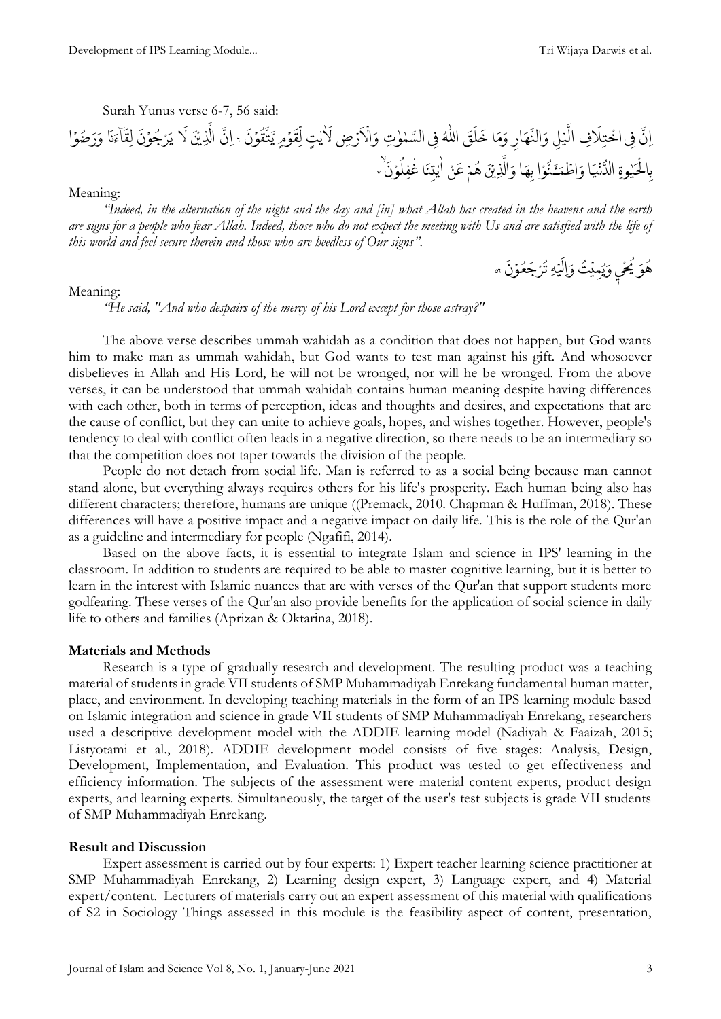Surah Yunus verse 6-7, 56 said:

َّ ا ى ِ ن ِ ِف ف ا َ ِل ت ْ اخ ِ ل ْ ي َّ ال ِ ار َ ه َّ الن َ و ا َ م َ و َ ق َ ل َ خ ُ ٰ اّلل ى ِ ِت ف ٰ و ٰ م ِض السَّ ْ ر َ ا ْ ال َ ت و ٰ ي ٰ ا َ م ل ْ و َ ق ِ ل َ ن ْ و ُ ق َّ ت َّ ي ٦ َّ ِ ن ا َ ن ْ ِذي َّ ال ا َ ل َ ن ْ و ُ ج رْ َ ي ا َ ن َ اۤء َ ِق ل ا ْ و ضُ َ ر َ و وِة ٰ ي َ ح ْ ال ِ ب ا َ ي ْ ن ُّ الد ا ْ و ُّ َٔـن َ م ْ اط َ و ا َ ِه ب َ ن ْ ِذي َّ ال َ و ْ م ُ ه ْ ن َ ع ا َ ن ِ ت ٰ ي ٰ ا َ ن ْ و ُ ِفل ٰ غ ٧

Meaning:

*"Indeed, in the alternation of the night and the day and [in] what Allah has created in the heavens and the earth are signs for a people who fear Allah. Indeed, those who do not expect the meeting with Us and are satisfied with the life of this world and feel secure therein and those who are heedless of Our signs".*

> َ و ُ هوَ يَخَى ׇ֢֦֧֢֦֧֢֧֧֧֧֧֧֧֧֚֚֚֚֚֚֡֝֝֝֓֝֓֝֓֝֬֝֓֝֬֝֓֝֬֜֓֝֬֝֓ ْ ح ر<br>' يَحْيِ وَيُمِيْتُ وَاِلَيۡهِ ؙ<br>; .<br>. ہ<br>آ ِال َ و  $\ddot{\cdot}$ ِ<br>تَرۡجَعُوۡنَ ْ تزجَعَوُن ہ

#### Meaning:

*"He said, "And who despairs of the mercy of his Lord except for those astray?"*

The above verse describes ummah wahidah as a condition that does not happen, but God wants him to make man as ummah wahidah, but God wants to test man against his gift. And whosoever disbelieves in Allah and His Lord, he will not be wronged, nor will he be wronged. From the above verses, it can be understood that ummah wahidah contains human meaning despite having differences with each other, both in terms of perception, ideas and thoughts and desires, and expectations that are the cause of conflict, but they can unite to achieve goals, hopes, and wishes together. However, people's tendency to deal with conflict often leads in a negative direction, so there needs to be an intermediary so that the competition does not taper towards the division of the people.

People do not detach from social life. Man is referred to as a social being because man cannot stand alone, but everything always requires others for his life's prosperity. Each human being also has different characters; therefore, humans are unique ((Premack, 2010. Chapman & Huffman, 2018). These differences will have a positive impact and a negative impact on daily life. This is the role of the Qur'an as a guideline and intermediary for people (Ngafifi, 2014).

Based on the above facts, it is essential to integrate Islam and science in IPS' learning in the classroom. In addition to students are required to be able to master cognitive learning, but it is better to learn in the interest with Islamic nuances that are with verses of the Qur'an that support students more godfearing. These verses of the Qur'an also provide benefits for the application of social science in daily life to others and families (Aprizan & Oktarina, 2018).

#### **Materials and Methods**

Research is a type of gradually research and development. The resulting product was a teaching material of students in grade VII students of SMP Muhammadiyah Enrekang fundamental human matter, place, and environment. In developing teaching materials in the form of an IPS learning module based on Islamic integration and science in grade VII students of SMP Muhammadiyah Enrekang, researchers used a descriptive development model with the ADDIE learning model (Nadiyah & Faaizah, 2015; Listyotami et al., 2018). ADDIE development model consists of five stages: Analysis, Design, Development, Implementation, and Evaluation. This product was tested to get effectiveness and efficiency information. The subjects of the assessment were material content experts, product design experts, and learning experts. Simultaneously, the target of the user's test subjects is grade VII students of SMP Muhammadiyah Enrekang.

#### **Result and Discussion**

Expert assessment is carried out by four experts: 1) Expert teacher learning science practitioner at SMP Muhammadiyah Enrekang, 2) Learning design expert, 3) Language expert, and 4) Material expert/content. Lecturers of materials carry out an expert assessment of this material with qualifications of S2 in Sociology Things assessed in this module is the feasibility aspect of content, presentation,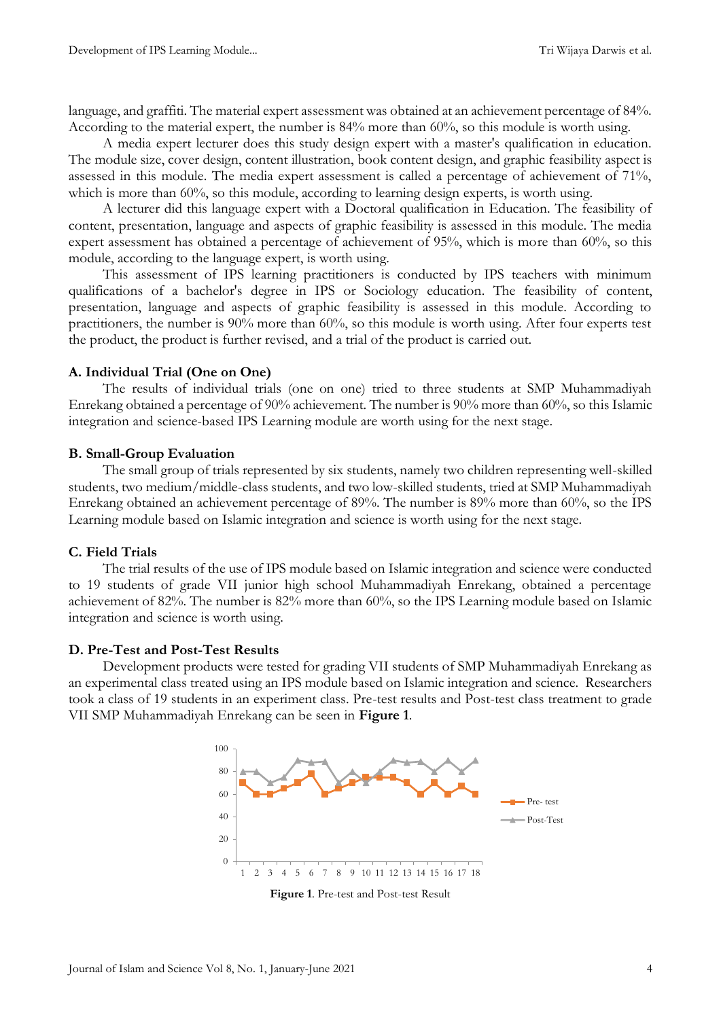language, and graffiti. The material expert assessment was obtained at an achievement percentage of 84%. According to the material expert, the number is 84% more than 60%, so this module is worth using.

A media expert lecturer does this study design expert with a master's qualification in education. The module size, cover design, content illustration, book content design, and graphic feasibility aspect is assessed in this module. The media expert assessment is called a percentage of achievement of 71%, which is more than 60%, so this module, according to learning design experts, is worth using.

A lecturer did this language expert with a Doctoral qualification in Education. The feasibility of content, presentation, language and aspects of graphic feasibility is assessed in this module. The media expert assessment has obtained a percentage of achievement of 95%, which is more than 60%, so this module, according to the language expert, is worth using.

This assessment of IPS learning practitioners is conducted by IPS teachers with minimum qualifications of a bachelor's degree in IPS or Sociology education. The feasibility of content, presentation, language and aspects of graphic feasibility is assessed in this module. According to practitioners, the number is 90% more than 60%, so this module is worth using. After four experts test the product, the product is further revised, and a trial of the product is carried out.

## **A. Individual Trial (One on One)**

The results of individual trials (one on one) tried to three students at SMP Muhammadiyah Enrekang obtained a percentage of 90% achievement. The number is 90% more than 60%, so this Islamic integration and science-based IPS Learning module are worth using for the next stage.

#### **B. Small-Group Evaluation**

The small group of trials represented by six students, namely two children representing well-skilled students, two medium/middle-class students, and two low-skilled students, tried at SMP Muhammadiyah Enrekang obtained an achievement percentage of 89%. The number is 89% more than 60%, so the IPS Learning module based on Islamic integration and science is worth using for the next stage.

## **C. Field Trials**

The trial results of the use of IPS module based on Islamic integration and science were conducted to 19 students of grade VII junior high school Muhammadiyah Enrekang, obtained a percentage achievement of 82%. The number is 82% more than 60%, so the IPS Learning module based on Islamic integration and science is worth using.

#### **D. Pre-Test and Post-Test Results**

Development products were tested for grading VII students of SMP Muhammadiyah Enrekang as an experimental class treated using an IPS module based on Islamic integration and science. Researchers took a class of 19 students in an experiment class. Pre-test results and Post-test class treatment to grade VII SMP Muhammadiyah Enrekang can be seen in **Figure 1**.